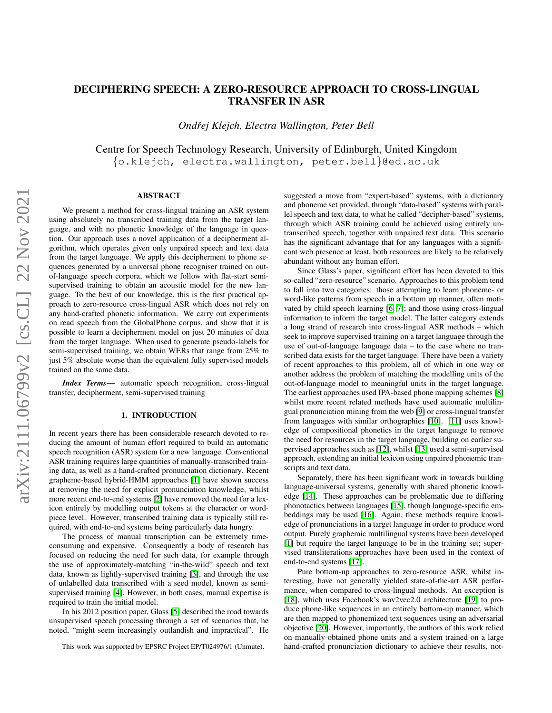# DECIPHERING SPEECH: A ZERO-RESOURCE APPROACH TO CROSS-LINGUAL TRANSFER IN ASR

*Ondrej Klejch, Electra Wallington, Peter Bell ˇ*

Centre for Speech Technology Research, University of Edinburgh, United Kingdom {o.klejch, electra.wallington, peter.bell}@ed.ac.uk

# ABSTRACT

We present a method for cross-lingual training an ASR system using absolutely no transcribed training data from the target language, and with no phonetic knowledge of the language in question. Our approach uses a novel application of a decipherment algorithm, which operates given only unpaired speech and text data from the target language. We apply this decipherment to phone sequences generated by a universal phone recogniser trained on outof-language speech corpora, which we follow with flat-start semisupervised training to obtain an acoustic model for the new language. To the best of our knowledge, this is the first practical approach to zero-resource cross-lingual ASR which does not rely on any hand-crafted phonetic information. We carry out experiments on read speech from the GlobalPhone corpus, and show that it is possible to learn a decipherment model on just 20 minutes of data from the target language. When used to generate pseudo-labels for semi-supervised training, we obtain WERs that range from 25% to just 5% absolute worse than the equivalent fully supervised models trained on the same data.

*Index Terms*— automatic speech recognition, cross-lingual transfer, decipherment, semi-supervised training

# 1. INTRODUCTION

In recent years there has been considerable research devoted to reducing the amount of human effort required to build an automatic speech recognition (ASR) system for a new language. Conventional ASR training requires large quantities of manually-transcribed training data, as well as a hand-crafted pronunciation dictionary. Recent grapheme-based hybrid-HMM approaches [\[1\]](#page-4-0) have shown success at removing the need for explicit pronunciation knowledge, whilst more recent end-to-end systems [\[2\]](#page-4-1) have removed the need for a lexicon entirely by modelling output tokens at the character or wordpiece level. However, transcribed training data is typically still required, with end-to-end systems being particularly data hungry.

The process of manual transcription can be extremely timeconsuming and expensive. Consequently a body of research has focused on reducing the need for such data, for example through the use of approximately-matching "in-the-wild" speech and text data, known as lightly-supervised training [\[3\]](#page-4-2), and through the use of unlabelled data transcribed with a seed model, known as semisupervised training [\[4\]](#page-4-3). However, in both cases, manual expertise is required to train the initial model.

In his 2012 position paper, Glass [\[5\]](#page-4-4) described the road towards unsupervised speech processing through a set of scenarios that, he noted, "might seem increasingly outlandish and impractical". He suggested a move from "expert-based" systems, with a dictionary and phoneme set provided, through "data-based" systems with parallel speech and text data, to what he called "decipher-based" systems, through which ASR training could be achieved using entirely untranscribed speech, together with unpaired text data. This scenario has the significant advantage that for any languages with a significant web presence at least, both resources are likely to be relatively abundant without any human effort.

Since Glass's paper, significant effort has been devoted to this so-called "zero-resource" scenario. Approaches to this problem tend to fall into two categories: those attempting to learn phoneme- or word-like patterns from speech in a bottom up manner, often motivated by child speech learning [\[6,](#page-4-5) [7\]](#page-4-6); and those using cross-lingual information to inform the target model. The latter category extends a long strand of research into cross-lingual ASR methods – which seek to improve supervised training on a target language through the use of out-of-language language data – to the case where no transcribed data exists for the target language. There have been a variety of recent approaches to this problem, all of which in one way or another address the problem of matching the modelling units of the out-of-language model to meaningful units in the target language. The earliest approaches used IPA-based phone mapping schemes [\[8\]](#page-4-7) whilst more recent related methods have used automatic multilingual pronunciation mining from the web [\[9\]](#page-4-8) or cross-lingual transfer from languages with similar orthographies [\[10\]](#page-4-9). [\[11\]](#page-4-10) uses knowledge of compositional phonetics in the target language to remove the need for resources in the target language, building on earlier supervised approaches such as [\[12\]](#page-4-11), whilst [\[13\]](#page-4-12) used a semi-supervised approach, extending an initial lexicon using unpaired phonemic transcripts and text data.

Separately, there has been significant work in towards building language-universal systems, generally with shared phonetic knowledge [\[14\]](#page-4-13). These approaches can be problematic due to differing phonotactics between languages [\[15\]](#page-4-14), though language-specific embeddings may be used [\[16\]](#page-4-15). Again, these methods require knowledge of pronunciations in a target language in order to produce word output. Purely graphemic multilingual systems have been developed [\[1\]](#page-4-0) but require the target language to be in the training set; supervised transliterations approaches have been used in the context of end-to-end systems [\[17\]](#page-4-16).

Pure bottom-up approaches to zero-resource ASR, whilst interesting, have not generally yielded state-of-the-art ASR performance, when compared to cross-lingual methods. An exception is [\[18\]](#page-4-17), which uses Facebook's wav2vec2.0 architecture [\[19\]](#page-4-18) to produce phone-like sequences in an entirely bottom-up manner, which are then mapped to phonemized text sequences using an adversarial objective [\[20\]](#page-4-19). However, importantly, the authors of this work relied on manually-obtained phone units and a system trained on a large hand-crafted pronunciation dictionary to achieve their results, not-

This work was supported by EPSRC Project EP/T024976/1 (Unmute).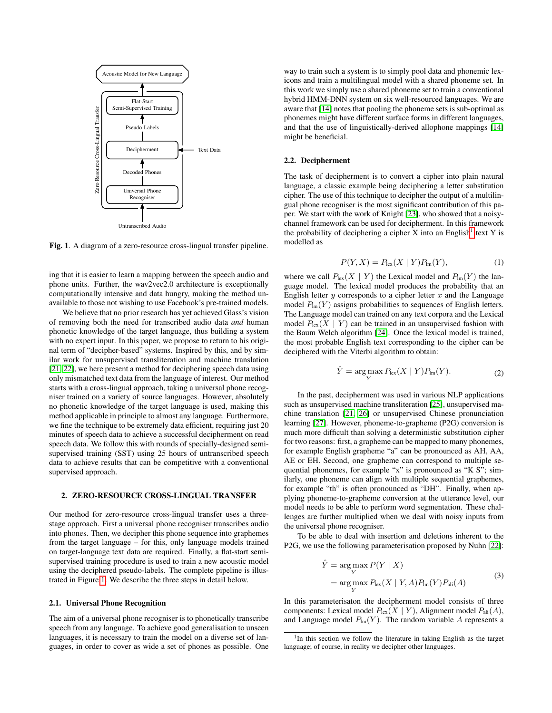

<span id="page-1-0"></span>Fig. 1. A diagram of a zero-resource cross-lingual transfer pipeline.

ing that it is easier to learn a mapping between the speech audio and phone units. Further, the wav2vec2.0 architecture is exceptionally computationally intensive and data hungry, making the method unavailable to those not wishing to use Facebook's pre-trained models.

We believe that no prior research has yet achieved Glass's vision of removing both the need for transcribed audio data *and* human phonetic knowledge of the target language, thus building a system with no expert input. In this paper, we propose to return to his original term of "decipher-based" systems. Inspired by this, and by similar work for unsupervised transliteration and machine translation [\[21,](#page-4-20) [22\]](#page-4-21), we here present a method for deciphering speech data using only mismatched text data from the language of interest. Our method starts with a cross-lingual approach, taking a universal phone recogniser trained on a variety of source languages. However, absolutely no phonetic knowledge of the target language is used, making this method applicable in principle to almost any language. Furthermore, we fine the technique to be extremely data efficient, requiring just 20 minutes of speech data to achieve a successful decipherment on read speech data. We follow this with rounds of specially-designed semisupervised training (SST) using 25 hours of untranscribed speech data to achieve results that can be competitive with a conventional supervised approach.

## 2. ZERO-RESOURCE CROSS-LINGUAL TRANSFER

Our method for zero-resource cross-lingual transfer uses a threestage approach. First a universal phone recogniser transcribes audio into phones. Then, we decipher this phone sequence into graphemes from the target language – for this, only language models trained on target-language text data are required. Finally, a flat-start semisupervised training procedure is used to train a new acoustic model using the deciphered pseudo-labels. The complete pipeline is illustrated in Figure [1.](#page-1-0) We describe the three steps in detail below.

#### 2.1. Universal Phone Recognition

The aim of a universal phone recogniser is to phonetically transcribe speech from any language. To achieve good generalisation to unseen languages, it is necessary to train the model on a diverse set of languages, in order to cover as wide a set of phones as possible. One

way to train such a system is to simply pool data and phonemic lexicons and train a multilingual model with a shared phoneme set. In this work we simply use a shared phoneme set to train a conventional hybrid HMM-DNN system on six well-resourced languages. We are aware that [\[14\]](#page-4-13) notes that pooling the phoneme sets is sub-optimal as phonemes might have different surface forms in different languages, and that the use of linguistically-derived allophone mappings [\[14\]](#page-4-13) might be beneficial.

#### 2.2. Decipherment

The task of decipherment is to convert a cipher into plain natural language, a classic example being deciphering a letter substitution cipher. The use of this technique to decipher the output of a multilingual phone recogniser is the most significant contribution of this paper. We start with the work of Knight [\[23\]](#page-4-22), who showed that a noisychannel framework can be used for decipherment. In this framework the probability of deciphering a cipher  $X$  into an English<sup>[1](#page-1-1)</sup> text Y is modelled as

$$
P(Y, X) = P_{\text{lex}}(X \mid Y) P_{\text{Im}}(Y), \tag{1}
$$

where we call  $P_{\text{lex}}(X \mid Y)$  the Lexical model and  $P_{\text{lm}}(Y)$  the language model. The lexical model produces the probability that an English letter  $y$  corresponds to a cipher letter  $x$  and the Language model  $P_{lm}(Y)$  assigns probabilities to sequences of English letters. The Language model can trained on any text corpora and the Lexical model  $P_{\text{lex}}(X \mid Y)$  can be trained in an unsupervised fashion with the Baum Welch algorithm [\[24\]](#page-4-23). Once the lexical model is trained, the most probable English text corresponding to the cipher can be deciphered with the Viterbi algorithm to obtain:

$$
\hat{Y} = \underset{Y}{\text{arg}\max} P_{\text{lex}}(X \mid Y) P_{\text{Im}}(Y). \tag{2}
$$

In the past, decipherment was used in various NLP applications such as unsupervised machine transliteration [\[25\]](#page-4-24), unsupervised machine translation [\[21,](#page-4-20) [26\]](#page-4-25) or unsupervised Chinese pronunciation learning [\[27\]](#page-4-26). However, phoneme-to-grapheme (P2G) conversion is much more difficult than solving a deterministic substitution cipher for two reasons: first, a grapheme can be mapped to many phonemes, for example English grapheme "a" can be pronounced as AH, AA, AE or EH. Second, one grapheme can correspond to multiple sequential phonemes, for example "x" is pronounced as "K S"; similarly, one phoneme can align with multiple sequential graphemes, for example "th" is often pronounced as "DH". Finally, when applying phoneme-to-grapheme conversion at the utterance level, our model needs to be able to perform word segmentation. These challenges are further multiplied when we deal with noisy inputs from the universal phone recogniser.

To be able to deal with insertion and deletions inherent to the P2G, we use the following parameterisation proposed by Nuhn [\[22\]](#page-4-21):

$$
\hat{Y} = \underset{Y}{\arg \max} P(Y | X)
$$
\n
$$
= \underset{Y}{\arg \max} P_{\text{lex}}(X | Y, A) P_{\text{Im}}(Y) P_{\text{ali}}(A) \tag{3}
$$

In this parameterisaton the decipherment model consists of three components: Lexical model  $P_{\text{lex}}(X | Y)$ , Alignment model  $P_{\text{ali}}(A)$ , and Language model  $P_{lm}(Y)$ . The random variable A represents a

<span id="page-1-1"></span><sup>&</sup>lt;sup>1</sup>In this section we follow the literature in taking English as the target language; of course, in reality we decipher other languages.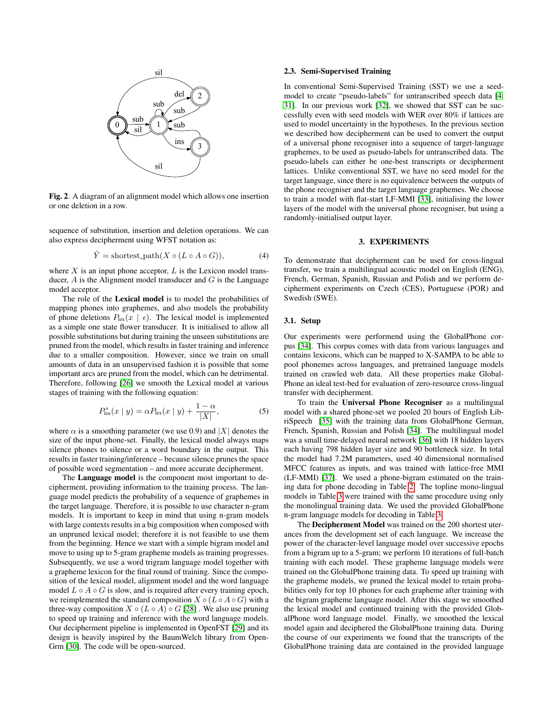

Fig. 2. A diagram of an alignment model which allows one insertion or one deletion in a row.

sequence of substitution, insertion and deletion operations. We can also express decipherment using WFST notation as:

$$
\hat{Y} = \text{shortest-path}(X \circ (L \circ A \circ G)),\tag{4}
$$

where  $X$  is an input phone acceptor,  $L$  is the Lexicon model transducer,  $A$  is the Alignment model transducer and  $G$  is the Language model acceptor.

The role of the Lexical model is to model the probabilities of mapping phones into graphemes, and also models the probability of phone deletions  $P_{\text{lex}}(x \mid \epsilon)$ . The lexical model is implemented as a simple one state flower transducer. It is initialised to allow all possible substitutions but during training the unseen substitutions are pruned from the model, which results in faster training and inference due to a smaller composition. However, since we train on small amounts of data in an unsupervised fashion it is possible that some important arcs are pruned from the model, which can be detrimental. Therefore, following [\[26\]](#page-4-25) we smooth the Lexical model at various stages of training with the following equation:

$$
P_{\text{lex}}^{s}(x \mid y) = \alpha P_{\text{lex}}(x \mid y) + \frac{1 - \alpha}{|X|},\tag{5}
$$

where  $\alpha$  is a smoothing parameter (we use 0.9) and |X| denotes the size of the input phone-set. Finally, the lexical model always maps silence phones to silence or a word boundary in the output. This results in faster training/inference – because silence prunes the space of possible word segmentation – and more accurate decipherment.

The **Language model** is the component most important to decipherment, providing information to the training process. The language model predicts the probability of a sequence of graphemes in the target language. Therefore, it is possible to use character n-gram models. It is important to keep in mind that using n-gram models with large contexts results in a big composition when composed with an unpruned lexical model; therefore it is not feasible to use them from the beginning. Hence we start with a simple bigram model and move to using up to 5-gram grapheme models as training progresses. Subsequently, we use a word trigram language model together with a grapheme lexicon for the final round of training. Since the composition of the lexical model, alignment model and the word language model  $L \circ A \circ G$  is slow, and is required after every training epoch, we reimplemented the standard composition  $X \circ (L \circ A \circ G)$  with a three-way composition  $X \circ (L \circ A) \circ G$  [\[28\]](#page-4-27). We also use pruning to speed up training and inference with the word language models. Our decipherment pipeline is implemented in OpenFST [\[29\]](#page-4-28) and its design is heavily inspired by the BaumWelch library from Open-Grm [\[30\]](#page-4-29). The code will be open-sourced.

#### 2.3. Semi-Supervised Training

In conventional Semi-Supervised Training (SST) we use a seedmodel to create "pseudo-labels" for untranscribed speech data [\[4,](#page-4-3) [31\]](#page-4-30). In our previous work [\[32\]](#page-4-31), we showed that SST can be successfully even with seed models with WER over 80% if lattices are used to model uncertainty in the hypotheses. In the previous section we described how decipherment can be used to convert the output of a universal phone recogniser into a sequence of target-language graphemes, to be used as pseudo-labels for untranscribed data. The pseudo-labels can either be one-best transcripts or decipherment lattices. Unlike conventional SST, we have no seed model for the target language, since there is no equivalence between the outputs of the phone recogniser and the target language graphemes. We choose to train a model with flat-start LF-MMI [\[33\]](#page-4-32), initialising the lower layers of the model with the universal phone recogniser, but using a randomly-initialised output layer.

## 3. EXPERIMENTS

To demonstrate that decipherment can be used for cross-lingual transfer, we train a multilingual acoustic model on English (ENG), French, German, Spanish, Russian and Polish and we perform decipherment experiments on Czech (CES), Portuguese (POR) and Swedish (SWE).

# 3.1. Setup

Our experiments were performend using the GlobalPhone corpus [\[34\]](#page-4-33). This corpus comes with data from various languages and contains lexicons, which can be mapped to X-SAMPA to be able to pool phonemes across languages, and pretrained language models trained on crawled web data. All these properties make Global-Phone an ideal test-bed for evaluation of zero-resource cross-lingual transfer with decipherment.

To train the Universal Phone Recogniser as a multilingual model with a shared phone-set we pooled 20 hours of English LibriSpeech [\[35\]](#page-4-34) with the training data from GlobalPhone German, French, Spanish, Russian and Polish [\[34\]](#page-4-33). The multilingual model was a small time-delayed neural network [\[36\]](#page-4-35) with 18 hidden layers each having 798 hidden layer size and 90 bottleneck size. In total the model had 7.2M parameters, used 40 dimensional normalised MFCC features as inputs, and was trained with lattice-free MMI (LF-MMI) [\[37\]](#page-4-36). We used a phone-bigram estimated on the training data for phone decoding in Table [2.](#page-3-0) The topline mono-lingual models in Table [3](#page-3-1) were trained with the same procedure using only the monolingual training data. We used the provided GlobalPhone n-gram language models for decoding in Table [3.](#page-3-1)

The Decipherment Model was trained on the 200 shortest uterances from the development set of each language. We increase the power of the character-level language model over successive epochs from a bigram up to a 5-gram; we perform 10 iterations of full-batch training with each model. These grapheme language models were trained on the GlobalPhone training data. To speed up training with the grapheme models, we pruned the lexical model to retain probabilities only for top 10 phones for each grapheme after training with the bigram grapheme language model. After this stage we smoothed the lexical model and continued training with the provided GlobalPhone word language model. Finally, we smoothed the lexical model again and deciphered the GlobalPhone training data. During the course of our experiments we found that the transcripts of the GlobalPhone training data are contained in the provided language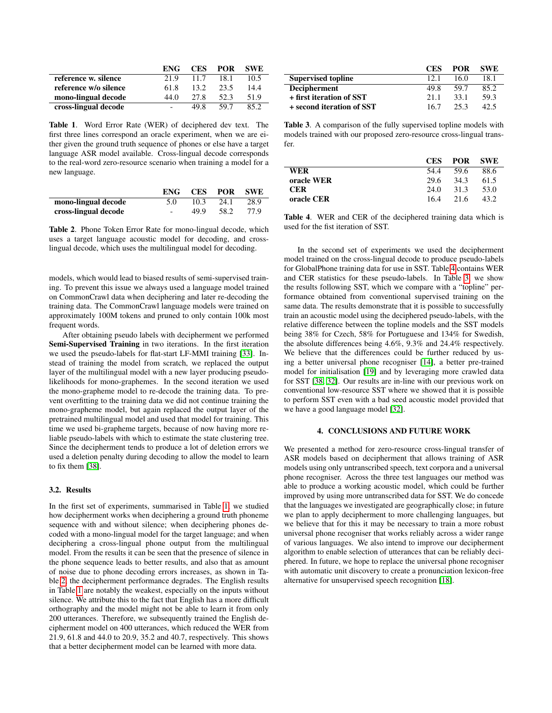|                       | ENG  | <b>CES</b> | <b>POR</b> | <b>SWE</b> |
|-----------------------|------|------------|------------|------------|
| reference w. silence  | 21.9 | 11.7       | 18.1       | 10.5       |
| reference w/o silence | 61.8 | 13.2       | 23.5       | 14.4       |
| mono-lingual decode   | 44.O | 27 R       | 52.3       | 51.9       |
| cross-lingual decode  |      | 49 R       | 59 7       | 852        |

<span id="page-3-2"></span>Table 1. Word Error Rate (WER) of deciphered dev text. The first three lines correspond an oracle experiment, when we are either given the ground truth sequence of phones or else have a target language ASR model available. Cross-lingual decode corresponds to the real-word zero-resource scenario when training a model for a new language.

|                      | ENG-   | CES  | POR SWE |      |
|----------------------|--------|------|---------|------|
| mono-lingual decode  | 5.0    | 10.3 | 24.1    | 28.9 |
| cross-lingual decode | $\sim$ | 49.9 | 58.2    | 77.9 |

<span id="page-3-0"></span>Table 2. Phone Token Error Rate for mono-lingual decode, which uses a target language acoustic model for decoding, and crosslingual decode, which uses the multilingual model for decoding.

models, which would lead to biased results of semi-supervised training. To prevent this issue we always used a language model trained on CommonCrawl data when deciphering and later re-decoding the training data. The CommonCrawl language models were trained on approximately 100M tokens and pruned to only contain 100k most frequent words.

After obtaining pseudo labels with decipherment we performed Semi-Supervised Training in two iterations. In the first iteration we used the pseudo-labels for flat-start LF-MMI training [\[33\]](#page-4-32). Instead of training the model from scratch, we replaced the output layer of the multilingual model with a new layer producing pseudolikelihoods for mono-graphemes. In the second iteration we used the mono-grapheme model to re-decode the training data. To prevent overfitting to the training data we did not continue training the mono-grapheme model, but again replaced the output layer of the pretrained multilingual model and used that model for training. This time we used bi-grapheme targets, because of now having more reliable pseudo-labels with which to estimate the state clustering tree. Since the decipherment tends to produce a lot of deletion errors we used a deletion penalty during decoding to allow the model to learn to fix them [\[38\]](#page-4-37).

# 3.2. Results

In the first set of experiments, summarised in Table [1,](#page-3-2) we studied how decipherment works when deciphering a ground truth phoneme sequence with and without silence; when deciphering phones decoded with a mono-lingual model for the target language; and when deciphering a cross-lingual phone output from the multilingual model. From the results it can be seen that the presence of silence in the phone sequence leads to better results, and also that as amount of noise due to phone decoding errors increases, as shown in Table [2,](#page-3-0) the decipherment performance degrades. The English results in Table [1](#page-3-2) are notably the weakest, especially on the inputs without silence. We attribute this to the fact that English has a more difficult orthography and the model might not be able to learn it from only 200 utterances. Therefore, we subsequently trained the English decipherment model on 400 utterances, which reduced the WER from 21.9, 61.8 and 44.0 to 20.9, 35.2 and 40.7, respectively. This shows that a better decipherment model can be learned with more data.

|                           | <b>CES</b> | <b>POR</b> | <b>SWE</b> |
|---------------------------|------------|------------|------------|
| <b>Supervised topline</b> | 12.1       | 16.0       | 18.1       |
| <b>Decipherment</b>       | 49.8       | 59.7       | 85.2       |
| + first iteration of SST  | 21.1       | 33.1       | 59.3       |
| + second iteration of SST | 16.7       | 25.3       | 42.5       |

<span id="page-3-1"></span>Table 3. A comparison of the fully supervised topline models with models trained with our proposed zero-resource cross-lingual transfer.

|            | <b>CES</b> | POR SWE |      |
|------------|------------|---------|------|
| <b>WER</b> | 54.4       | 59.6    | 88.6 |
| oracle WER | 29.6       | 34.3    | 61.5 |
| <b>CER</b> | 24.0       | 31.3    | 53.0 |
| oracle CER | 16.4       | 21.6    | 43.2 |

<span id="page-3-3"></span>Table 4. WER and CER of the deciphered training data which is used for the fist iteration of SST.

In the second set of experiments we used the decipherment model trained on the cross-lingual decode to produce pseudo-labels for GlobalPhone training data for use in SST. Table [4](#page-3-3) contains WER and CER statistics for these pseudo-labels. In Table [3,](#page-3-1) we show the results following SST, which we compare with a "topline" performance obtained from conventional supervised training on the same data. The results demonstrate that it is possible to successfully train an acoustic model using the deciphered pseudo-labels, with the relative difference between the topline models and the SST models being 38% for Czech, 58% for Portuguese and 134% for Swedish, the absolute differences being 4.6%, 9.3% and 24.4% respectively. We believe that the differences could be further reduced by using a better universal phone recogniser [\[14\]](#page-4-13), a better pre-trained model for initialisation [\[19\]](#page-4-18) and by leveraging more crawled data for SST [\[38,](#page-4-37) [32\]](#page-4-31). Our results are in-line with our previous work on conventional low-resource SST where we showed that it is possible to perform SST even with a bad seed acoustic model provided that we have a good language model [\[32\]](#page-4-31).

## 4. CONCLUSIONS AND FUTURE WORK

We presented a method for zero-resource cross-lingual transfer of ASR models based on decipherment that allows training of ASR models using only untranscribed speech, text corpora and a universal phone recogniser. Across the three test languages our method was able to produce a working acoustic model, which could be further improved by using more untranscribed data for SST. We do concede that the languages we investigated are geographically close; in future we plan to apply decipherment to more challenging languages, but we believe that for this it may be necessary to train a more robust universal phone recogniser that works reliably across a wider range of various languages. We also intend to improve our decipherment algorithm to enable selection of utterances that can be reliably deciphered. In future, we hope to replace the universal phone recogniser with automatic unit discovery to create a pronunciation lexicon-free alternative for unsupervised speech recognition [\[18\]](#page-4-17).